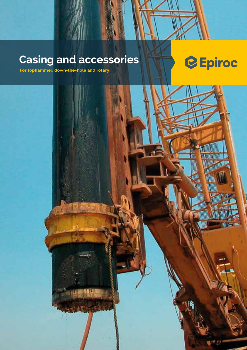### **Casing and accessories**



m

**For tophammer, down-the-hole and rotary**

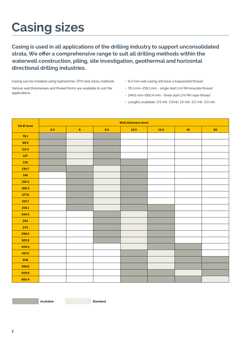### **Casing sizes**

**Casing is used in all applications of the drilling industry to support unconsolidated strata. We offer a comprehensive range to suit all drilling methods within the waterwell construction, piling, site investigation, geothermal and horizontal directional drilling industries.**

Casing can be installed using tophammer, DTH and rotary methods. Various wall thicknesses and thread forms are available to suit the applications.

- 6.3 mm wall casing will have a trapezoidal thread.
- 76.1 mm–219.1 mm single start LH/RH knuckle thread.
- 244.5 mm–660.4 mm three start LH/RH rope thread.
- Lengths available: 0.5 mtr, 1.0mtr, 1.5 mtr, 2.0 mtr, 3.0 mtr.

| OD Ø (mm) | Wall thickness (mm) |         |     |        |      |    |    |  |  |  |  |
|-----------|---------------------|---------|-----|--------|------|----|----|--|--|--|--|
|           | 6.3                 | $\bf 8$ | 9.5 | $12.5$ | 14.2 | 16 | 20 |  |  |  |  |
| 76.1      |                     |         |     |        |      |    |    |  |  |  |  |
| 88.9      |                     |         |     |        |      |    |    |  |  |  |  |
| 114.3     |                     |         |     |        |      |    |    |  |  |  |  |
| 127       |                     |         |     |        |      |    |    |  |  |  |  |
| 133       |                     |         |     |        |      |    |    |  |  |  |  |
| 139.7     |                     |         |     |        |      |    |    |  |  |  |  |
| 146       |                     |         |     |        |      |    |    |  |  |  |  |
| 152.4     |                     |         |     |        |      |    |    |  |  |  |  |
| 168.3     |                     |         |     |        |      |    |    |  |  |  |  |
| 177.8     |                     |         |     |        |      |    |    |  |  |  |  |
| 193.7     |                     |         |     |        |      |    |    |  |  |  |  |
| 219.1     |                     |         |     |        |      |    |    |  |  |  |  |
| 244.5     |                     |         |     |        |      |    |    |  |  |  |  |
| 254       |                     |         |     |        |      |    |    |  |  |  |  |
| 273       |                     |         |     |        |      |    |    |  |  |  |  |
| 298.5     |                     |         |     |        |      |    |    |  |  |  |  |
| 323.9     |                     |         |     |        |      |    |    |  |  |  |  |
| 406.4     |                     |         |     |        |      |    |    |  |  |  |  |
| 457.2     |                     |         |     |        |      |    |    |  |  |  |  |
| 508       |                     |         |     |        |      |    |    |  |  |  |  |
| 558.8     |                     |         |     |        |      |    |    |  |  |  |  |
| 609.6     |                     |         |     |        |      |    |    |  |  |  |  |
| 660.4     |                     |         |     |        |      |    |    |  |  |  |  |

**Available Standard**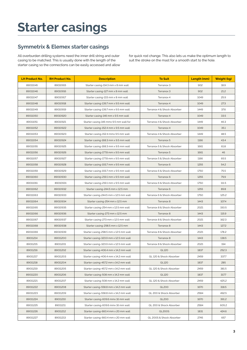### **Starter casings**

#### **Symmetrix & Elemex starter casings**

All overburden drilling systems need the inner drill string and outer casing to be matched. This is usually done with the length of the starter casing so the connections can be easily accessed and allow for quick rod change. This also lets us make the optimum length to suit the stroke on the mast for a smooth start to the hole.

| <b>LH Product No.</b> | <b>RH Product No.</b> | <b>To Suit</b><br><b>Description</b>          |                             | Length (mm) | Weight (kg) |
|-----------------------|-----------------------|-----------------------------------------------|-----------------------------|-------------|-------------|
| 89011045              | 89010915              | Starter casing-114.3 mm x 8 mm wall           | Terranox 3                  | 902         | 18.9        |
| 89011046              | 89010916              | Starter casing-127 mm x 8 mm wall             | Terranox 3                  | 902         | 21.2        |
| 89011047              | 89010917              | Starter casing-133 mm x 8 mm wall             | Terranox 4                  | 1049        | 25.9        |
| 89011048              | 89010918              | Starter casing-139.7 mm x 9.5 mm wall         | Terranox 4                  | 1049        | 27.3        |
| 89011049              | 89010919              | Starter casing-139.7 mm x 9.5 mm wall         | Terranox 4 & Shock Absorber | 1449        | 37.6        |
| 89011050              | 89010920              | Starter casing-146 mm x 9.5 mm wall           | Terranox 4                  | 1049        | 33.5        |
| 89011051              | 89010921              | Starter casing-146 mmx 9.5 mm wall for        | Terranox 4 & Shock Absorber | 1449        | 46.3        |
| 89011052              | 89010922              | Starter casing-152.4 mm x 9.5 mm wall         | Terranox 4                  | 1049        | 35.1        |
| 89011053              | 89010923              | Starter casing-152.4 mmx 9.5 mm wall          | Terranox 4 & Shock Absorber | 1449        | 48.5        |
| 89011054              | 89010924              | Starter casing-168.3 mm x 9.5 mm wall         | Terranox 5                  | 1166        | 43.4        |
| 89011055              | 89010925              | Starter casing-168.3 mm x 9.5 mm wall         | Terranox 5 & Shock Absorber | 1661        | 61.8        |
| 89011056              | 89010926              | Starter casing-177.8 mm x 9.5 mm wall         | Terranox 5                  | 1661        | 46          |
| 89011057              | 89010927              | Starter casing-177.8 mm x 9.5 mm wall         | Terranox 5 & Shock Absorber | 1166        | 65.5        |
| 89011058              | 89010928              | Starter casing-193.7 mm x 9.5 mm wall         | Terranox 6                  | 1255        | 54.2        |
| 89011059              | 89010929              | Starter casing-193.7 mm x 9.5 mm wall         | Terranox 6 & Shock Absorber | 1750        | 75.5        |
| 89011060              | 89010930              | Starter casing-219.1 mm x 9.5 mm wall         | Terranox 6                  | 1255        | 79.9        |
| 89011061              | 89010931              | Starter casing-219.1 mm x 9.5 mm wall         | Terranox 6 & Shock Absorber | 1750        | 111.5       |
| 89011062              | 89010932              | Starter casing-244.5 mm x 12.5 mm             | Terranox 6                  | 1255        | 89.8        |
| 89011063              | 89010933              | Starter casing-244.5 mm x 12.5 mm wall        | Terranox 6 & Shock Absorber | 1750        | 125.2       |
| 89011064              | 89010934              | Starter casing-254 mm x 12.5 mm<br>Terranox 8 |                             | 1443        | 107.4       |
| 89011065              | 89010935              | Starter casing-254 mm x 12.5 mm wall          | Terranox 8 & Shock Absorber | 2021        | 150.5       |
| 89011066              | 89010936              | Starter casing-273 mm x 12.5 mm               | Terranox 8                  | 1443        | 115.9       |
| 89011067              | 89010937              | Starter casing-273 mm x 12.5 mm wall          | Terranox 8 & Shock Absorber | 2021        | 162.3       |
| 89011068              | 89010938              | Starter casing-298.5 mm x 12.5 mm             | Terranox 8                  | 1443        | 127.2       |
| 89011069              | 89010939              | Starter casing-298.5 mm x 12.5 mm wall        | Terranox 8 & Shock Absorber | 2021        | 178.2       |
| 89011214              | 89011200              | Starter casing-323.9 mm x 12.5 mm wall        | Terranox 8                  | 1443        | 138.5       |
| 89011215              | 89011201              | Starter casing-323.9 mm x 12.5 mm wall        | Terranox 8 & Shock Absorber | 2021        | 194         |
| 89011216              | 89011202              | Starter casing-406.4 mm x 14.2 mm wall        | QL120                       | 1837        | 252.3       |
| 89011217              | 89011203              | Starter casing-406.4 mm x 14.2 mm wall        | QL 120 & Shock Absorber     | 2459        | 337.7       |
| 89011218              | 89011204              | Starter casing-457.2 mm x 14.2 mm wall        | QL120                       | 1837        | 285         |
| 89011219              | 89011205              | Starter casing-457.2 mm x 14.2 mm wall        | QL 120 & Shock Absorber     | 2459        | 381.5       |
| 89011220              | 89011206              | Starter casing-508 mm x 14.2 mm wall          | QL120                       | 1837        | 317.7       |
| 89011221              | 89011207              | Starter casing-508 mm x 14.2 mm wall          | QL 120 & Shock Absorber     | 2459        | 425.2       |
| 89011222              | 89011208              | Starter casing-558.8 mm x 14.2 mm wall        | QL200                       | 1670        | 318.5       |
| 89011223              | 89011209              | Starter casing-558.8 mm x 14.2 mm wall        | QL 200 & Shock Absorber     | 2584        | 492.5       |
| 89011224              | 89011210              | Starter casing-609.6 mmx 16 mm wall           | QL200                       | 1670        | 391.2       |
| 89011225              | 89011211              | Starter casing-609.6 mmx 16 mm wall           | QL 200 & Shock Absorber     | 2584        | 605.2       |
| 89011226              | 89011212              | Starter casing-660.4 mm x 20 mm wall          | QL200S                      | 1831        | 424.6       |
| 89011227              | 89011213              | Starter casing-660.4 mm x 20 mm wall          | QL 200S & Shock Absorber    | 2745        | 657         |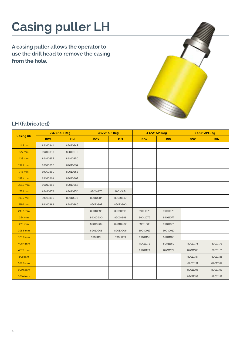## **Casing puller LH**

**A casing puller allows the operator to use the drill head to remove the casing from the hole.**



### **LH (fabricated)**

|                  | 2 3/8" API Reg |            |            | 31/2" API Reg | 41/2" API Reg |            | 65/8" API Reg |            |  |
|------------------|----------------|------------|------------|---------------|---------------|------------|---------------|------------|--|
| <b>Casing OD</b> | <b>BOX</b>     | <b>PIN</b> | <b>BOX</b> | <b>PIN</b>    | <b>BOX</b>    | <b>PIN</b> | <b>BOX</b>    | <b>PIN</b> |  |
| 114.3 mm         | 89010844       | 89010842   |            |               |               |            |               |            |  |
| 127 mm           | 89010848       | 89010846   |            |               |               |            |               |            |  |
| 133 mm           | 89010852       | 89010850   |            |               |               |            |               |            |  |
| 139.7 mm         | 89010856       | 89010854   |            |               |               |            |               |            |  |
| 146 mm           | 89010860       | 89010858   |            |               |               |            |               |            |  |
| 152.4 mm         | 89010864       | 89010862   |            |               |               |            |               |            |  |
| 168.3 mm         | 89010868       | 89010866   |            |               |               |            |               |            |  |
| 177.8 mm         | 89010872       | 89010870   | 89010876   | 89010874      |               |            |               |            |  |
| 193.7 mm         | 89010880       | 89010878   | 89010884   | 89010882      |               |            |               |            |  |
| 219.1 mm         | 89010888       | 89010886   | 89010892   | 89010890      |               |            |               |            |  |
| 244.5 mm         |                |            | 89010896   | 89010894      | 89011075      | 89011073   |               |            |  |
| 254 mm           |                |            | 89010900   | 89010898      | 89011079      | 89011077   |               |            |  |
| 273 mm           |                |            | 89010904   | 89010902      | 89011083      | 89011081   |               |            |  |
| 298.5 mm         |                |            | 89010908   | 89010906      | 89010912      | 89010910   |               |            |  |
| 323.9 mm         |                |            | 89011161   | 89011159      | 89011165      | 89011163   |               |            |  |
| 406.4 mm         |                |            |            |               | 89011171      | 89011169   | 89011175      | 89011173   |  |
| 457.2 mm         |                |            |            |               | 89011179      | 89011177   | 89011183      | 89011181   |  |
| 508 mm           |                |            |            |               |               |            | 89011187      | 89011185   |  |
| 558.8 mm         |                |            |            |               |               |            | 89011191      | 89011189   |  |
| 609.6 mm         |                |            |            |               |               |            | 89011195      | 89011193   |  |
| 660.4 mm         |                |            |            |               |               |            | 89011199      | 89011197   |  |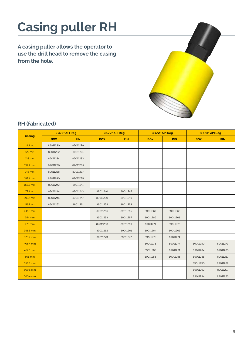# **Casing puller RH**

**A casing puller allows the operator to use the drill head to remove the casing from the hole.**



#### **RH (fabricated)**

|          | 2 3/8" API Reg |            |            | 31/2" API Reg |            | 41/2" API Reg | 65/8" API Reg |            |  |
|----------|----------------|------------|------------|---------------|------------|---------------|---------------|------------|--|
| Casing   | <b>BOX</b>     | <b>PIN</b> | <b>BOX</b> | <b>PIN</b>    | <b>BOX</b> | <b>PIN</b>    | <b>BOX</b>    | <b>PIN</b> |  |
| 114.3 mm | 89011230       | 89011229   |            |               |            |               |               |            |  |
| 127 mm   | 89011232       | 89011231   |            |               |            |               |               |            |  |
| 133 mm   | 89011234       | 89011233   |            |               |            |               |               |            |  |
| 139.7 mm | 89011236       | 89011235   |            |               |            |               |               |            |  |
| 146 mm   | 89011238       | 89011237   |            |               |            |               |               |            |  |
| 152.4 mm | 89011240       | 89011239   |            |               |            |               |               |            |  |
| 168.3 mm | 89011242       | 89011241   |            |               |            |               |               |            |  |
| 177.8 mm | 89011244       | 89011243   | 89011246   | 89011245      |            |               |               |            |  |
| 193.7 mm | 89011248       | 89011247   | 89011250   | 89011249      |            |               |               |            |  |
| 219.1 mm | 89011252       | 89011251   | 89011254   | 89011253      |            |               |               |            |  |
| 244.5 mm |                |            | 89011256   | 89011255      | 89011267   | 89011266      |               |            |  |
| 254 mm   |                |            | 89011258   | 89011257      | 89011269   | 89011268      |               |            |  |
| 273 mm   |                |            | 89011260   | 89011259      | 89011271   | 89011270      |               |            |  |
| 298.5 mm |                |            | 89011262   | 89011261      | 89011264   | 89011263      |               |            |  |
| 323.9 mm |                |            | 89011273   | 89011272      | 89011275   | 89011274      |               |            |  |
| 406.4 mm |                |            |            |               | 89011278   | 89011277      | 89011280      | 89011279   |  |
| 457.2 mm |                |            |            |               | 89011282   | 89011281      | 89011284      | 89011283   |  |
| 508 mm   |                |            |            |               | 89011286   | 89011285      | 89011288      | 89011287   |  |
| 558.8 mm |                |            |            |               |            |               | 89011290      | 89011289   |  |
| 609.6 mm |                |            |            |               |            |               | 89011292      | 89011291   |  |
| 660.4 mm |                |            |            |               |            |               | 89011294      | 89011293   |  |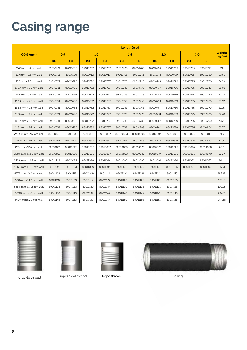### **Casing range**

|                               | Length (mtr) |          |           |          |           |          |           |          |           |          |                  |
|-------------------------------|--------------|----------|-----------|----------|-----------|----------|-----------|----------|-----------|----------|------------------|
| OD @ (mm)                     | 0.5          |          | 1.0       |          | 1.5       |          | 2.0       |          | 3.0       |          | Weight<br>(kq/m) |
|                               | <b>RH</b>    | LH.      | <b>RH</b> | LH       | <b>RH</b> | LH       | <b>RH</b> | LH.      | <b>RH</b> | LH.      |                  |
| $114.3$ mm $\times$ 8 mm wall | 89010701     | 89010706 | 89010702  | 89010707 | 89010703  | 89010708 | 89010704  | 89010709 | 89010705  | 89010710 | 21               |
| 127 mm x 9.5 mm wall          | 89010711     | 89010716 | 89010712  | 89010717 | 89010713  | 89010718 | 89010714  | 89010719 | 89010715  | 89010720 | 23.51            |
| 133 mm x 9.5 mm wall          | 89010721     | 89010726 | 89010722  | 89010727 | 89010723  | 89010728 | 89010724  | 89010729 | 89010725  | 89010730 | 24.69            |
| 139.7 mm x 9.5 mm wall        | 89010731     | 89010736 | 89010732  | 89010737 | 89010733  | 89010738 | 89010734  | 89010739 | 89010735  | 89010740 | 26.01            |
| 146 mm x 9.5 mm wall          | 89010741     | 89010746 | 89010742  | 89010747 | 89010743  | 89010748 | 89010744  | 89010749 | 89010745  | 89010750 | 32.02            |
| 152.4 mm x 9.5 mm wall        | 89010751     | 89010756 | 89010752  | 89010757 | 89010753  | 89010758 | 89010754  | 89010759 | 89010755  | 89010760 | 33.52            |
| 168.3 mm x 9.5 mm wall        | 89010761     | 89010766 | 89010762  | 89010767 | 89010763  | 89010768 | 89010764  | 89010769 | 89010765  | 89010770 | 37.25            |
| 177.8 mm x 9.5 mm wall        | 89010771     | 89010776 | 89010772  | 89010777 | 89010773  | 89010778 | 89010774  | 89010779 | 89010775  | 89010780 | 39.48            |
| 193.7 mm x 9.5 mm wall        | 89010781     | 89010786 | 89010782  | 89010787 | 89010783  | 89010788 | 89010784  | 89010789 | 89010785  | 89010790 | 43.21            |
| 219.1 mm x 9.5 mm wall        | 89010791     | 89010796 | 89010792  | 89010797 | 89010793  | 89010798 | 89010794  | 89010799 | 89010795  | 89010800 | 63.77            |
| 244.5 mm x 12.5 mm wall       | 89010801     | 89010806 | 89010802  | 89010807 | 89010803  | 89010808 | 89010804  | 89010809 | 89010805  | 89010810 | 71.6             |
| 254 mm x 12.5 mm wall         | 89010811     | 89010816 | 89010812  | 89010817 | 89010813  | 89010818 | 89010814  | 89010819 | 89010815  | 89010820 | 74.54            |
| 273 mm x 12.5 mm wall         | 89010821     | 89010826 | 89010822  | 89010827 | 89010823  | 89010828 | 89010824  | 89010829 | 89010825  | 89010830 | 80.4             |
| 298.5 mm x 12.5 mm wall       | 89010831     | 89010836 | 89010832  | 89010837 | 89010833  | 89010838 | 89010834  | 89010839 | 89010835  | 89010840 | 88.27            |
| 323.9 mm x 12.5 mm wall       | 89011228     | 89011093 | 89011089  | 89011094 | 89011090  | 89011095 | 89011091  | 89011096 | 89011092  | 89011097 | 96.11            |
| 406.4 mm x 12.5 mm wall       | 89011098     | 89011103 | 89011099  | 89011104 | 89011100  | 89011105 | 89011101  | 89011106 | 89011102  | 89011107 | 137.51           |
| 457.2 mm x 14.2 mm wall       | 89011108     | 89011113 | 89011109  | 89011114 | 89011110  | 89011115 | 89011111  | 89011116 |           |          | 155.32           |
| 508 mm x 14.2 mm wall         | 89011118     | 89011123 | 89011119  | 89011124 | 89011120  | 89011125 | 89011121  | 89011126 |           |          | 173.13           |
| 558.8 mm x 14.2 mm wall       | 89011128     | 89011133 | 89011129  | 89011134 | 89011130  | 89011135 | 89011131  | 89011136 |           |          | 190.95           |
| 609.6 mm x 16 mm wall         | 89011138     | 89011143 | 89011139  | 89011144 | 89011140  | 89011145 | 89011141  | 89011146 |           |          | 234.51           |
| 660.4 mm x 20 mm wall         | 89011148     | 89011153 | 89011149  | 89011154 | 89011150  | 89011155 | 89011151  | 89011156 |           |          | 254.58           |





Knuckle thread Trapezoidal thread Rope thread Casing Casing



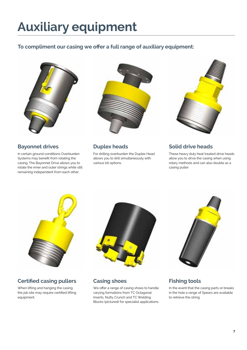### **Auxiliary equipment**

#### **To compliment our casing we offer a full range of auxiliary equipment:**



#### **Bayonnet drives**

In certain ground conditions Overburden Systems may benefit from rotating the casing. The Bayonnet Drive allows you to rotate the inner and outer strings while still remaining independent from each other.



#### **Duplex heads**

For drilling overburden the Duplex Head allows you to drill simultaneously with various bit options.



### **Solid drive heads**

These heavy duty heat treated drive heads allow you to drive the casing when using rotary methods and can also double as a casing puller.



### **Certified casing pullers**

When lifting and hanging the casing the job site may require certified lifting equipment.



**Casing shoes**

We offer a range of casing shoes to handle varying formations from TC Octagonal Inserts, Nutty Crunch and TC Welding Blocks (pictured) for specialist applications.



### **Fishing tools**

In the event that the casing parts or breaks in the hole a range of Spears are available to retrieve the string.